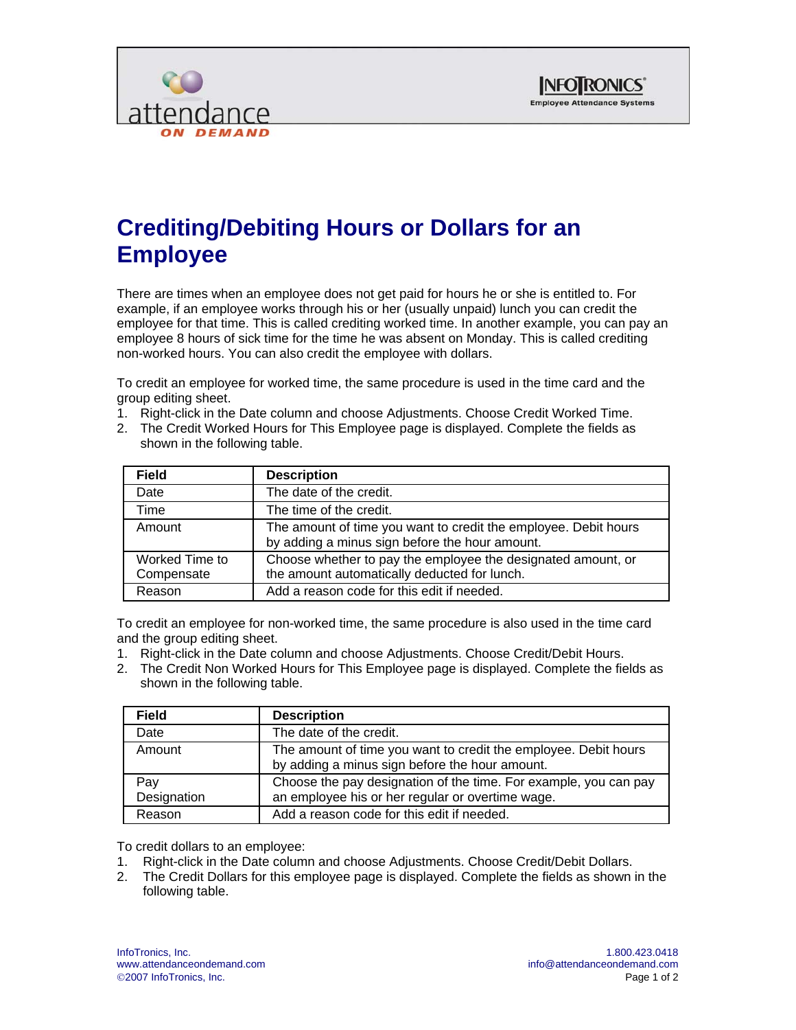



## **Crediting/Debiting Hours or Dollars for an Employee**

There are times when an employee does not get paid for hours he or she is entitled to. For example, if an employee works through his or her (usually unpaid) lunch you can credit the employee for that time. This is called crediting worked time. In another example, you can pay an employee 8 hours of sick time for the time he was absent on Monday. This is called crediting non-worked hours. You can also credit the employee with dollars.

To credit an employee for worked time, the same procedure is used in the time card and the group editing sheet.

- 1. Right-click in the Date column and choose Adjustments. Choose Credit Worked Time.
- 2. The Credit Worked Hours for This Employee page is displayed. Complete the fields as shown in the following table.

| <b>Field</b>                 | <b>Description</b>                                                                                                |
|------------------------------|-------------------------------------------------------------------------------------------------------------------|
| Date                         | The date of the credit.                                                                                           |
| Time                         | The time of the credit.                                                                                           |
| Amount                       | The amount of time you want to credit the employee. Debit hours<br>by adding a minus sign before the hour amount. |
| Worked Time to<br>Compensate | Choose whether to pay the employee the designated amount, or<br>the amount automatically deducted for lunch.      |
| Reason                       | Add a reason code for this edit if needed.                                                                        |

To credit an employee for non-worked time, the same procedure is also used in the time card and the group editing sheet.

- 1. Right-click in the Date column and choose Adjustments. Choose Credit/Debit Hours.
- 2. The Credit Non Worked Hours for This Employee page is displayed. Complete the fields as shown in the following table.

| <b>Field</b> | <b>Description</b>                                                                                                |
|--------------|-------------------------------------------------------------------------------------------------------------------|
| Date         | The date of the credit.                                                                                           |
| Amount       | The amount of time you want to credit the employee. Debit hours<br>by adding a minus sign before the hour amount. |
| Pay          | Choose the pay designation of the time. For example, you can pay                                                  |
| Designation  | an employee his or her regular or overtime wage.                                                                  |
| Reason       | Add a reason code for this edit if needed.                                                                        |

To credit dollars to an employee:

- 1. Right-click in the Date column and choose Adjustments. Choose Credit/Debit Dollars.
- 2. The Credit Dollars for this employee page is displayed. Complete the fields as shown in the following table.